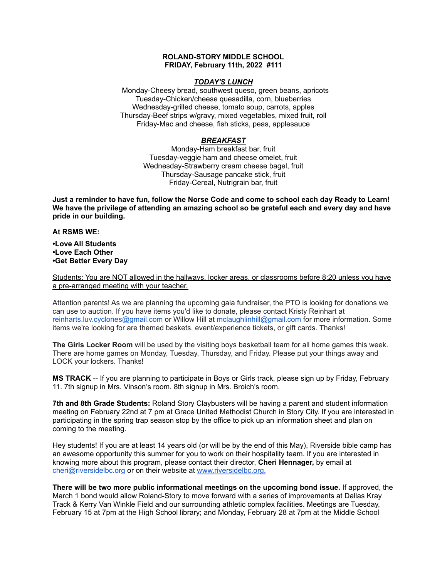## **ROLAND-STORY MIDDLE SCHOOL FRIDAY, February 11th, 2022 #111**

#### *TODAY'S LUNCH*

Monday-Cheesy bread, southwest queso, green beans, apricots Tuesday-Chicken/cheese quesadilla, corn, blueberries Wednesday-grilled cheese, tomato soup, carrots, apples Thursday-Beef strips w/gravy, mixed vegetables, mixed fruit, roll Friday-Mac and cheese, fish sticks, peas, applesauce

# *BREAKFAST*

Monday-Ham breakfast bar, fruit Tuesday-veggie ham and cheese omelet, fruit Wednesday-Strawberry cream cheese bagel, fruit Thursday-Sausage pancake stick, fruit Friday-Cereal, Nutrigrain bar, fruit

Just a reminder to have fun, follow the Norse Code and come to school each day Ready to Learn! **We have the privilege of attending an amazing school so be grateful each and every day and have pride in our building.**

#### **At RSMS WE:**

**•Love All Students •Love Each Other •Get Better Every Day**

Students: You are NOT allowed in the hallways, locker areas, or classrooms before 8:20 unless you have a pre-arranged meeting with your teacher.

Attention parents! As we are planning the upcoming gala fundraiser, the PTO is looking for donations we can use to auction. If you have items you'd like to donate, please contact Kristy Reinhart at reinharts.luv.cyclones@gmail.com or Willow Hill at mclaughlinhill@gmail.com for more information. Some items we're looking for are themed baskets, event/experience tickets, or gift cards. Thanks!

**The Girls Locker Room** will be used by the visiting boys basketball team for all home games this week. There are home games on Monday, Tuesday, Thursday, and Friday. Please put your things away and LOCK your lockers. Thanks!

**MS TRACK** -- If you are planning to participate in Boys or Girls track, please sign up by Friday, February 11. 7th signup in Mrs. Vinson's room. 8th signup in Mrs. Broich's room.

**7th and 8th Grade Students:** Roland Story Claybusters will be having a parent and student information meeting on February 22nd at 7 pm at Grace United Methodist Church in Story City. If you are interested in participating in the spring trap season stop by the office to pick up an information sheet and plan on coming to the meeting.

Hey students! If you are at least 14 years old (or will be by the end of this May), Riverside bible camp has an awesome opportunity this summer for you to work on their hospitality team. If you are interested in knowing more about this program, please contact their director, **Cheri Hennager,** by email at cheri@riversidelbc.org or on their website at [www.riversidelbc.org.](http://www.riversidelbc.org/)

**There will be two more public informational meetings on the upcoming bond issue.** If approved, the March 1 bond would allow Roland-Story to move forward with a series of improvements at Dallas Kray Track & Kerry Van Winkle Field and our surrounding athletic complex facilities. Meetings are Tuesday, February 15 at 7pm at the High School library; and Monday, February 28 at 7pm at the Middle School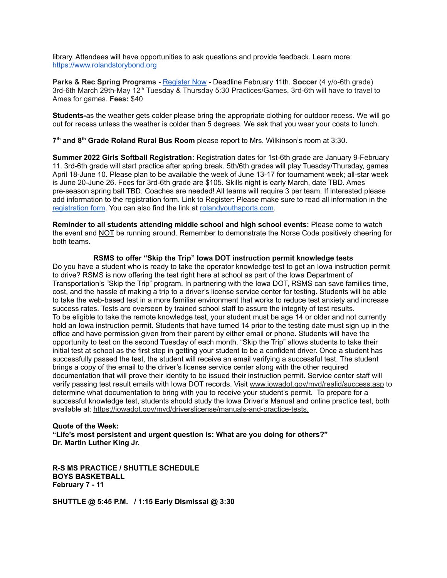library. Attendees will have opportunities to ask questions and provide feedback. Learn more: [https://www.rolandstorybond.org](https://www.rolandstorybond.org/?fbclid=IwAR3AJHhy8S8KvQsof-Z44UTrIBXDkOZFSdMyUXMovrg0bH3FkvkTprNkFuM)

**Parks & Rec Spring Programs -** [Register](https://apm.activecommunities.com/cityofstorycity/Activity_Search) Now - Deadline February 11th. **Soccer** (4 y/o-6th grade) 3rd-6th March 29th-May 12<sup>th</sup> Tuesday & Thursday 5:30 Practices/Games, 3rd-6th will have to travel to Ames for games. **Fees:** \$40

**Students-**as the weather gets colder please bring the appropriate clothing for outdoor recess. We will go out for recess unless the weather is colder than 5 degrees. We ask that you wear your coats to lunch.

**7 th and 8 th Grade Roland Rural Bus Room** please report to Mrs. Wilkinson's room at 3:30.

**Summer 2022 Girls Softball Registration:** Registration dates for 1st-6th grade are January 9-February 11. 3rd-6th grade will start practice after spring break. 5th/6th grades will play Tuesday/Thursday, games April 18-June 10. Please plan to be available the week of June 13-17 for tournament week; all-star week is June 20-June 26. Fees for 3rd-6th grade are \$105. Skills night is early March, date TBD. Ames pre-season spring ball TBD. Coaches are needed! All teams will require 3 per team. If interested please add information to the registration form. Link to Register: Please make sure to read all information in th[e](https://rolandyouthsports.com/summer-2022-softball-registration-form/) [registration](https://rolandyouthsports.com/summer-2022-softball-registration-form/) form. You can also find the link at [rolandyouthsports.com](http://rolandyouthsports.com/).

**Reminder to all students attending middle school and high school events:** Please come to watch the event and NOT be running around. Remember to demonstrate the Norse Code positively cheering for both teams.

### **RSMS to offer "Skip the Trip" Iowa DOT instruction permit knowledge tests**

Do you have a student who is ready to take the operator knowledge test to get an Iowa instruction permit to drive? RSMS is now offering the test right here at school as part of the Iowa Department of Transportation's "Skip the Trip" program. In partnering with the Iowa DOT, RSMS can save families time, cost, and the hassle of making a trip to a driver's license service center for testing. Students will be able to take the web-based test in a more familiar environment that works to reduce test anxiety and increase success rates. Tests are overseen by trained school staff to assure the integrity of test results. To be eligible to take the remote knowledge test, your student must be age 14 or older and not currently hold an Iowa instruction permit. Students that have turned 14 prior to the testing date must sign up in the office and have permission given from their parent by either email or phone. Students will have the opportunity to test on the second Tuesday of each month. "Skip the Trip" allows students to take their initial test at school as the first step in getting your student to be a confident driver. Once a student has successfully passed the test, the student will receive an email verifying a successful test. The student brings a copy of the email to the driver's license service center along with the other required documentation that will prove their identity to be issued their instruction permit. Service center staff will verify passing test result emails with Iowa DOT records. Visit [www.iowadot.gov/mvd/realid/success.asp](http://www.iowadot.gov/mvd/realid/success.asp) to determine what documentation to bring with you to receive your student's permit. To prepare for a successful knowledge test, students should study the Iowa Driver's Manual and online practice test, both available at: <https://iowadot.gov/mvd/driverslicense/manuals-and-practice-tests>.

## **Quote of the Week: "Life's most persistent and urgent question is: What are you doing for others?" Dr. Martin Luther King Jr.**

**R-S MS PRACTICE / SHUTTLE SCHEDULE BOYS BASKETBALL February 7 - 11**

**SHUTTLE @ 5:45 P.M. / 1:15 Early Dismissal @ 3:30**